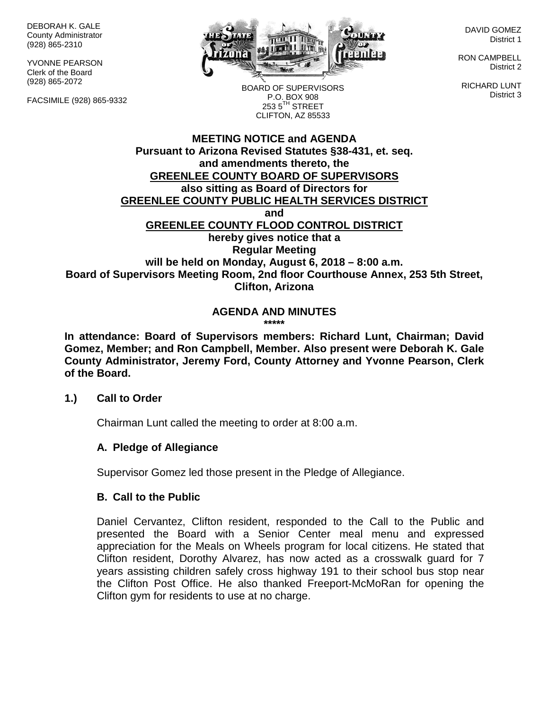DEBORAH K. GALE County Administrator (928) 865-2310

YVONNE PEARSON Clerk of the Board (928) 865-2072

FACSIMILE (928) 865-9332



DAVID GOMEZ District 1

RON CAMPBELL District 2

RICHARD LUNT District 3

BOARD OF SUPERVISORS P.O. BOX 908  $253.5$ <sup>TH</sup> STREET CLIFTON, AZ 85533

## **MEETING NOTICE and AGENDA Pursuant to Arizona Revised Statutes §38-431, et. seq. and amendments thereto, the GREENLEE COUNTY BOARD OF SUPERVISORS also sitting as Board of Directors for GREENLEE COUNTY PUBLIC HEALTH SERVICES DISTRICT and GREENLEE COUNTY FLOOD CONTROL DISTRICT hereby gives notice that a Regular Meeting will be held on Monday, August 6, 2018 – 8:00 a.m. Board of Supervisors Meeting Room, 2nd floor Courthouse Annex, 253 5th Street, Clifton, Arizona**

#### **AGENDA AND MINUTES \*\*\*\*\***

**In attendance: Board of Supervisors members: Richard Lunt, Chairman; David Gomez, Member; and Ron Campbell, Member. Also present were Deborah K. Gale County Administrator, Jeremy Ford, County Attorney and Yvonne Pearson, Clerk of the Board.**

## **1.) Call to Order**

Chairman Lunt called the meeting to order at 8:00 a.m.

## **A. Pledge of Allegiance**

Supervisor Gomez led those present in the Pledge of Allegiance.

## **B. Call to the Public**

Daniel Cervantez, Clifton resident, responded to the Call to the Public and presented the Board with a Senior Center meal menu and expressed appreciation for the Meals on Wheels program for local citizens. He stated that Clifton resident, Dorothy Alvarez, has now acted as a crosswalk guard for 7 years assisting children safely cross highway 191 to their school bus stop near the Clifton Post Office. He also thanked Freeport-McMoRan for opening the Clifton gym for residents to use at no charge.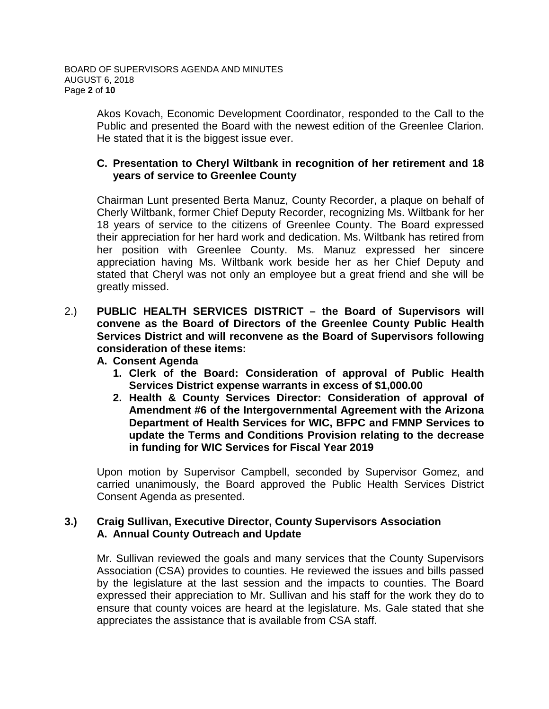Akos Kovach, Economic Development Coordinator, responded to the Call to the Public and presented the Board with the newest edition of the Greenlee Clarion. He stated that it is the biggest issue ever.

## **C. Presentation to Cheryl Wiltbank in recognition of her retirement and 18 years of service to Greenlee County**

Chairman Lunt presented Berta Manuz, County Recorder, a plaque on behalf of Cherly Wiltbank, former Chief Deputy Recorder, recognizing Ms. Wiltbank for her 18 years of service to the citizens of Greenlee County. The Board expressed their appreciation for her hard work and dedication. Ms. Wiltbank has retired from her position with Greenlee County. Ms. Manuz expressed her sincere appreciation having Ms. Wiltbank work beside her as her Chief Deputy and stated that Cheryl was not only an employee but a great friend and she will be greatly missed.

2.) **PUBLIC HEALTH SERVICES DISTRICT – the Board of Supervisors will convene as the Board of Directors of the Greenlee County Public Health Services District and will reconvene as the Board of Supervisors following consideration of these items:**

## **A. Consent Agenda**

- **1. Clerk of the Board: Consideration of approval of Public Health Services District expense warrants in excess of \$1,000.00**
- **2. Health & County Services Director: Consideration of approval of Amendment #6 of the Intergovernmental Agreement with the Arizona Department of Health Services for WIC, BFPC and FMNP Services to update the Terms and Conditions Provision relating to the decrease in funding for WIC Services for Fiscal Year 2019**

Upon motion by Supervisor Campbell, seconded by Supervisor Gomez, and carried unanimously, the Board approved the Public Health Services District Consent Agenda as presented.

## **3.) Craig Sullivan, Executive Director, County Supervisors Association A. Annual County Outreach and Update**

Mr. Sullivan reviewed the goals and many services that the County Supervisors Association (CSA) provides to counties. He reviewed the issues and bills passed by the legislature at the last session and the impacts to counties. The Board expressed their appreciation to Mr. Sullivan and his staff for the work they do to ensure that county voices are heard at the legislature. Ms. Gale stated that she appreciates the assistance that is available from CSA staff.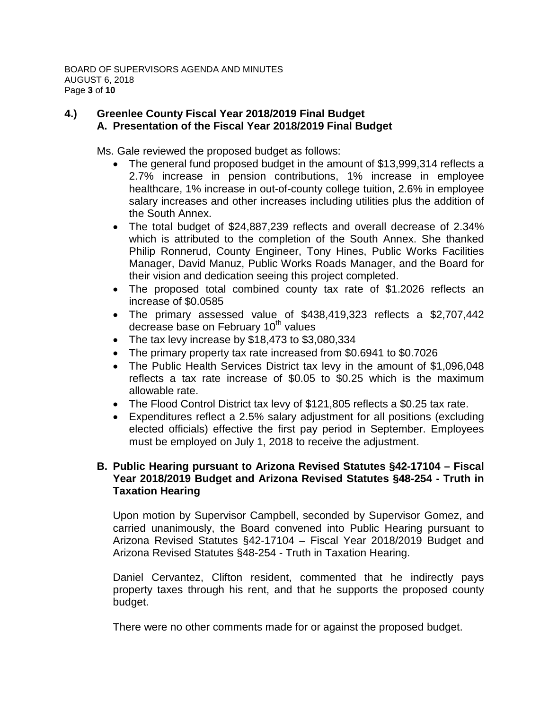# **4.) Greenlee County Fiscal Year 2018/2019 Final Budget A. Presentation of the Fiscal Year 2018/2019 Final Budget**

Ms. Gale reviewed the proposed budget as follows:

- The general fund proposed budget in the amount of \$13,999,314 reflects a 2.7% increase in pension contributions, 1% increase in employee healthcare, 1% increase in out-of-county college tuition, 2.6% in employee salary increases and other increases including utilities plus the addition of the South Annex.
- The total budget of \$24,887,239 reflects and overall decrease of 2.34% which is attributed to the completion of the South Annex. She thanked Philip Ronnerud, County Engineer, Tony Hines, Public Works Facilities Manager, David Manuz, Public Works Roads Manager, and the Board for their vision and dedication seeing this project completed.
- The proposed total combined county tax rate of \$1.2026 reflects an increase of \$0.0585
- The primary assessed value of \$438,419,323 reflects a \$2,707,442 decrease base on February 10<sup>th</sup> values
- The tax levy increase by \$18,473 to \$3,080,334
- The primary property tax rate increased from \$0.6941 to \$0.7026
- The Public Health Services District tax levy in the amount of \$1,096,048 reflects a tax rate increase of \$0.05 to \$0.25 which is the maximum allowable rate.
- The Flood Control District tax levy of \$121,805 reflects a \$0.25 tax rate.
- Expenditures reflect a 2.5% salary adjustment for all positions (excluding elected officials) effective the first pay period in September. Employees must be employed on July 1, 2018 to receive the adjustment.

# **B. Public Hearing pursuant to Arizona Revised Statutes §42-17104 – Fiscal Year 2018/2019 Budget and Arizona Revised Statutes §48-254 - Truth in Taxation Hearing**

Upon motion by Supervisor Campbell, seconded by Supervisor Gomez, and carried unanimously, the Board convened into Public Hearing pursuant to Arizona Revised Statutes §42-17104 – Fiscal Year 2018/2019 Budget and Arizona Revised Statutes §48-254 - Truth in Taxation Hearing.

Daniel Cervantez, Clifton resident, commented that he indirectly pays property taxes through his rent, and that he supports the proposed county budget.

There were no other comments made for or against the proposed budget.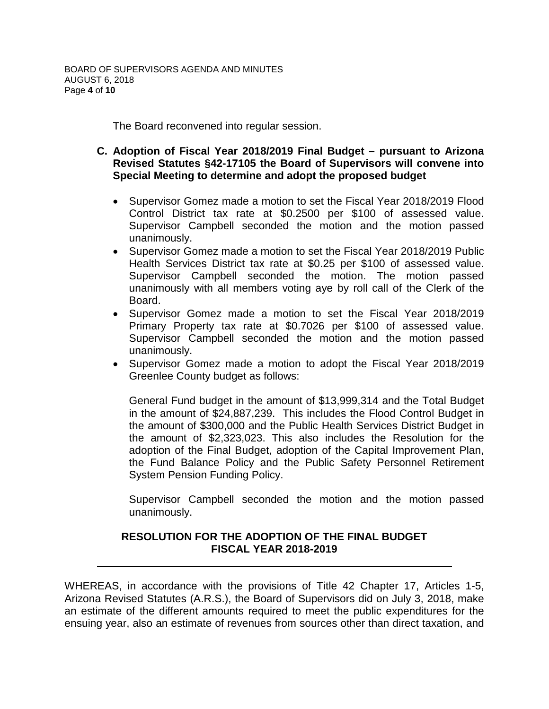The Board reconvened into regular session.

- **C. Adoption of Fiscal Year 2018/2019 Final Budget – pursuant to Arizona Revised Statutes §42-17105 the Board of Supervisors will convene into Special Meeting to determine and adopt the proposed budget**
	- Supervisor Gomez made a motion to set the Fiscal Year 2018/2019 Flood Control District tax rate at \$0.2500 per \$100 of assessed value. Supervisor Campbell seconded the motion and the motion passed unanimously.
	- Supervisor Gomez made a motion to set the Fiscal Year 2018/2019 Public Health Services District tax rate at \$0.25 per \$100 of assessed value. Supervisor Campbell seconded the motion. The motion passed unanimously with all members voting aye by roll call of the Clerk of the Board.
	- Supervisor Gomez made a motion to set the Fiscal Year 2018/2019 Primary Property tax rate at \$0.7026 per \$100 of assessed value. Supervisor Campbell seconded the motion and the motion passed unanimously.
	- Supervisor Gomez made a motion to adopt the Fiscal Year 2018/2019 Greenlee County budget as follows:

General Fund budget in the amount of \$13,999,314 and the Total Budget in the amount of \$24,887,239. This includes the Flood Control Budget in the amount of \$300,000 and the Public Health Services District Budget in the amount of \$2,323,023. This also includes the Resolution for the adoption of the Final Budget, adoption of the Capital Improvement Plan, the Fund Balance Policy and the Public Safety Personnel Retirement System Pension Funding Policy.

Supervisor Campbell seconded the motion and the motion passed unanimously.

# **RESOLUTION FOR THE ADOPTION OF THE FINAL BUDGET FISCAL YEAR 2018-2019**

WHEREAS, in accordance with the provisions of Title 42 Chapter 17, Articles 1-5, Arizona Revised Statutes (A.R.S.), the Board of Supervisors did on July 3, 2018, make an estimate of the different amounts required to meet the public expenditures for the ensuing year, also an estimate of revenues from sources other than direct taxation, and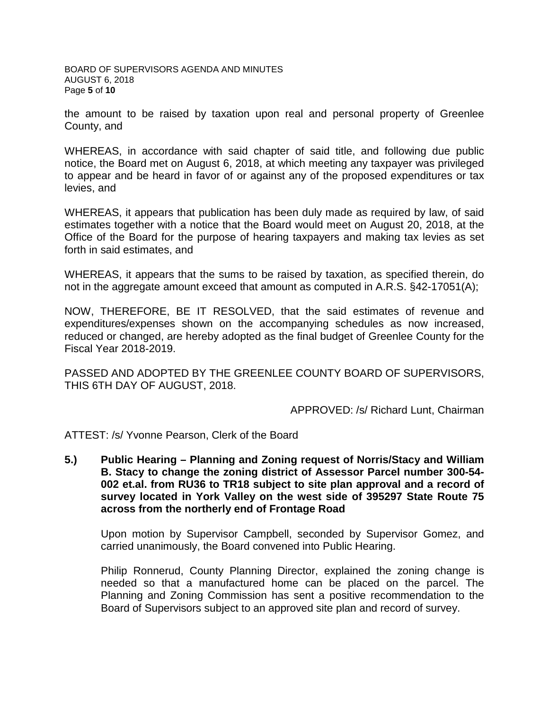BOARD OF SUPERVISORS AGENDA AND MINUTES AUGUST 6, 2018 Page **5** of **10**

the amount to be raised by taxation upon real and personal property of Greenlee County, and

WHEREAS, in accordance with said chapter of said title, and following due public notice, the Board met on August 6, 2018, at which meeting any taxpayer was privileged to appear and be heard in favor of or against any of the proposed expenditures or tax levies, and

WHEREAS, it appears that publication has been duly made as required by law, of said estimates together with a notice that the Board would meet on August 20, 2018, at the Office of the Board for the purpose of hearing taxpayers and making tax levies as set forth in said estimates, and

WHEREAS, it appears that the sums to be raised by taxation, as specified therein, do not in the aggregate amount exceed that amount as computed in A.R.S. §42-17051(A);

NOW, THEREFORE, BE IT RESOLVED, that the said estimates of revenue and expenditures/expenses shown on the accompanying schedules as now increased, reduced or changed, are hereby adopted as the final budget of Greenlee County for the Fiscal Year 2018-2019.

PASSED AND ADOPTED BY THE GREENLEE COUNTY BOARD OF SUPERVISORS, THIS 6TH DAY OF AUGUST, 2018.

APPROVED: /s/ Richard Lunt, Chairman

ATTEST: /s/ Yvonne Pearson, Clerk of the Board

**5.) Public Hearing – Planning and Zoning request of Norris/Stacy and William B. Stacy to change the zoning district of Assessor Parcel number 300-54- 002 et.al. from RU36 to TR18 subject to site plan approval and a record of survey located in York Valley on the west side of 395297 State Route 75 across from the northerly end of Frontage Road**

Upon motion by Supervisor Campbell, seconded by Supervisor Gomez, and carried unanimously, the Board convened into Public Hearing.

Philip Ronnerud, County Planning Director, explained the zoning change is needed so that a manufactured home can be placed on the parcel. The Planning and Zoning Commission has sent a positive recommendation to the Board of Supervisors subject to an approved site plan and record of survey.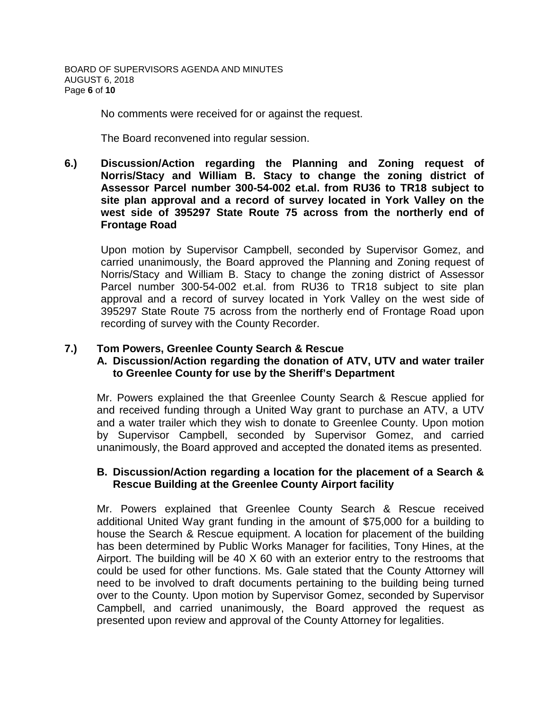No comments were received for or against the request.

The Board reconvened into regular session.

**6.) Discussion/Action regarding the Planning and Zoning request of Norris/Stacy and William B. Stacy to change the zoning district of Assessor Parcel number 300-54-002 et.al. from RU36 to TR18 subject to site plan approval and a record of survey located in York Valley on the west side of 395297 State Route 75 across from the northerly end of Frontage Road**

Upon motion by Supervisor Campbell, seconded by Supervisor Gomez, and carried unanimously, the Board approved the Planning and Zoning request of Norris/Stacy and William B. Stacy to change the zoning district of Assessor Parcel number 300-54-002 et.al. from RU36 to TR18 subject to site plan approval and a record of survey located in York Valley on the west side of 395297 State Route 75 across from the northerly end of Frontage Road upon recording of survey with the County Recorder.

# **7.) Tom Powers, Greenlee County Search & Rescue**

## **A. Discussion/Action regarding the donation of ATV, UTV and water trailer to Greenlee County for use by the Sheriff's Department**

Mr. Powers explained the that Greenlee County Search & Rescue applied for and received funding through a United Way grant to purchase an ATV, a UTV and a water trailer which they wish to donate to Greenlee County. Upon motion by Supervisor Campbell, seconded by Supervisor Gomez, and carried unanimously, the Board approved and accepted the donated items as presented.

## **B. Discussion/Action regarding a location for the placement of a Search & Rescue Building at the Greenlee County Airport facility**

Mr. Powers explained that Greenlee County Search & Rescue received additional United Way grant funding in the amount of \$75,000 for a building to house the Search & Rescue equipment. A location for placement of the building has been determined by Public Works Manager for facilities, Tony Hines, at the Airport. The building will be 40 X 60 with an exterior entry to the restrooms that could be used for other functions. Ms. Gale stated that the County Attorney will need to be involved to draft documents pertaining to the building being turned over to the County. Upon motion by Supervisor Gomez, seconded by Supervisor Campbell, and carried unanimously, the Board approved the request as presented upon review and approval of the County Attorney for legalities.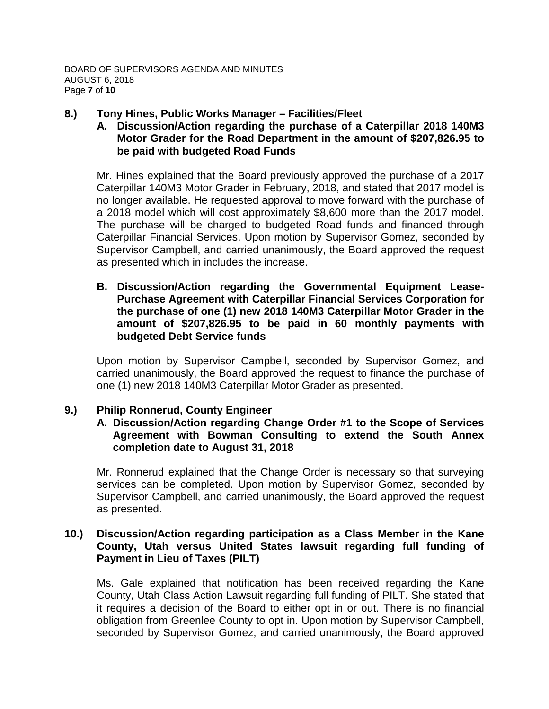#### **8.) Tony Hines, Public Works Manager – Facilities/Fleet**

# **A. Discussion/Action regarding the purchase of a Caterpillar 2018 140M3 Motor Grader for the Road Department in the amount of \$207,826.95 to be paid with budgeted Road Funds**

Mr. Hines explained that the Board previously approved the purchase of a 2017 Caterpillar 140M3 Motor Grader in February, 2018, and stated that 2017 model is no longer available. He requested approval to move forward with the purchase of a 2018 model which will cost approximately \$8,600 more than the 2017 model. The purchase will be charged to budgeted Road funds and financed through Caterpillar Financial Services. Upon motion by Supervisor Gomez, seconded by Supervisor Campbell, and carried unanimously, the Board approved the request as presented which in includes the increase.

**B. Discussion/Action regarding the Governmental Equipment Lease-Purchase Agreement with Caterpillar Financial Services Corporation for the purchase of one (1) new 2018 140M3 Caterpillar Motor Grader in the amount of \$207,826.95 to be paid in 60 monthly payments with budgeted Debt Service funds**

Upon motion by Supervisor Campbell, seconded by Supervisor Gomez, and carried unanimously, the Board approved the request to finance the purchase of one (1) new 2018 140M3 Caterpillar Motor Grader as presented.

## **9.) Philip Ronnerud, County Engineer**

#### **A. Discussion/Action regarding Change Order #1 to the Scope of Services Agreement with Bowman Consulting to extend the South Annex completion date to August 31, 2018**

Mr. Ronnerud explained that the Change Order is necessary so that surveying services can be completed. Upon motion by Supervisor Gomez, seconded by Supervisor Campbell, and carried unanimously, the Board approved the request as presented.

## **10.) Discussion/Action regarding participation as a Class Member in the Kane County, Utah versus United States lawsuit regarding full funding of Payment in Lieu of Taxes (PILT)**

Ms. Gale explained that notification has been received regarding the Kane County, Utah Class Action Lawsuit regarding full funding of PILT. She stated that it requires a decision of the Board to either opt in or out. There is no financial obligation from Greenlee County to opt in. Upon motion by Supervisor Campbell, seconded by Supervisor Gomez, and carried unanimously, the Board approved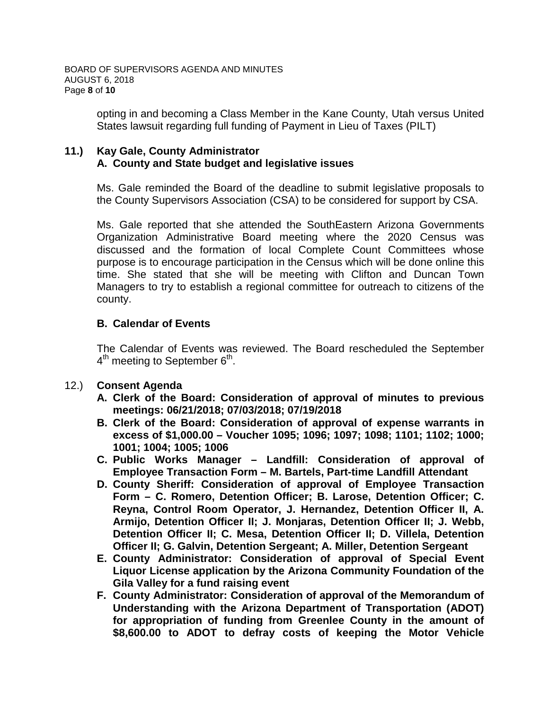opting in and becoming a Class Member in the Kane County, Utah versus United States lawsuit regarding full funding of Payment in Lieu of Taxes (PILT)

# **11.) Kay Gale, County Administrator A. County and State budget and legislative issues**

Ms. Gale reminded the Board of the deadline to submit legislative proposals to the County Supervisors Association (CSA) to be considered for support by CSA.

Ms. Gale reported that she attended the SouthEastern Arizona Governments Organization Administrative Board meeting where the 2020 Census was discussed and the formation of local Complete Count Committees whose purpose is to encourage participation in the Census which will be done online this time. She stated that she will be meeting with Clifton and Duncan Town Managers to try to establish a regional committee for outreach to citizens of the county.

# **B. Calendar of Events**

The Calendar of Events was reviewed. The Board rescheduled the September  $4<sup>th</sup>$  meeting to September  $6<sup>th</sup>$ .

## 12.) **Consent Agenda**

- **A. Clerk of the Board: Consideration of approval of minutes to previous meetings: 06/21/2018; 07/03/2018; 07/19/2018**
- **B. Clerk of the Board: Consideration of approval of expense warrants in excess of \$1,000.00 – Voucher 1095; 1096; 1097; 1098; 1101; 1102; 1000; 1001; 1004; 1005; 1006**
- **C. Public Works Manager – Landfill: Consideration of approval of Employee Transaction Form – M. Bartels, Part-time Landfill Attendant**
- **D. County Sheriff: Consideration of approval of Employee Transaction Form – C. Romero, Detention Officer; B. Larose, Detention Officer; C. Reyna, Control Room Operator, J. Hernandez, Detention Officer II, A. Armijo, Detention Officer II; J. Monjaras, Detention Officer II; J. Webb, Detention Officer II; C. Mesa, Detention Officer II; D. Villela, Detention Officer II; G. Galvin, Detention Sergeant; A. Miller, Detention Sergeant**
- **E. County Administrator: Consideration of approval of Special Event Liquor License application by the Arizona Community Foundation of the Gila Valley for a fund raising event**
- **F. County Administrator: Consideration of approval of the Memorandum of Understanding with the Arizona Department of Transportation (ADOT) for appropriation of funding from Greenlee County in the amount of \$8,600.00 to ADOT to defray costs of keeping the Motor Vehicle**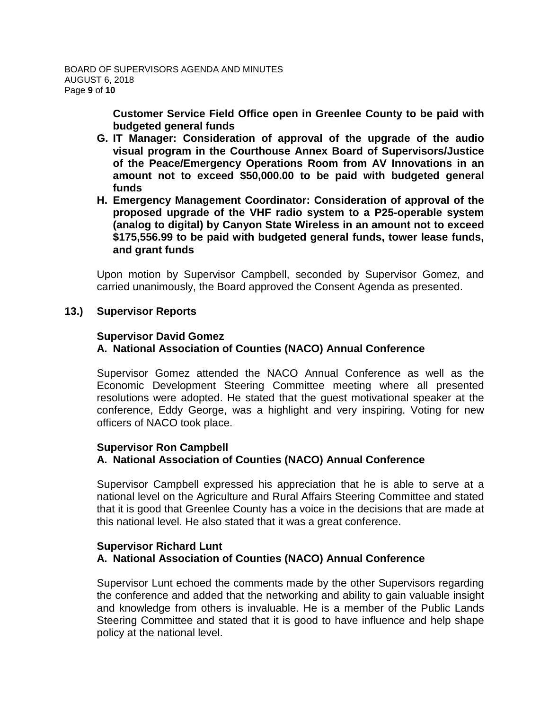**Customer Service Field Office open in Greenlee County to be paid with budgeted general funds**

- **G. IT Manager: Consideration of approval of the upgrade of the audio visual program in the Courthouse Annex Board of Supervisors/Justice of the Peace/Emergency Operations Room from AV Innovations in an amount not to exceed \$50,000.00 to be paid with budgeted general funds**
- **H. Emergency Management Coordinator: Consideration of approval of the proposed upgrade of the VHF radio system to a P25-operable system (analog to digital) by Canyon State Wireless in an amount not to exceed \$175,556.99 to be paid with budgeted general funds, tower lease funds, and grant funds**

Upon motion by Supervisor Campbell, seconded by Supervisor Gomez, and carried unanimously, the Board approved the Consent Agenda as presented.

#### **13.) Supervisor Reports**

#### **Supervisor David Gomez**

# **A. National Association of Counties (NACO) Annual Conference**

Supervisor Gomez attended the NACO Annual Conference as well as the Economic Development Steering Committee meeting where all presented resolutions were adopted. He stated that the guest motivational speaker at the conference, Eddy George, was a highlight and very inspiring. Voting for new officers of NACO took place.

#### **Supervisor Ron Campbell**

## **A. National Association of Counties (NACO) Annual Conference**

Supervisor Campbell expressed his appreciation that he is able to serve at a national level on the Agriculture and Rural Affairs Steering Committee and stated that it is good that Greenlee County has a voice in the decisions that are made at this national level. He also stated that it was a great conference.

#### **Supervisor Richard Lunt A. National Association of Counties (NACO) Annual Conference**

Supervisor Lunt echoed the comments made by the other Supervisors regarding the conference and added that the networking and ability to gain valuable insight and knowledge from others is invaluable. He is a member of the Public Lands Steering Committee and stated that it is good to have influence and help shape policy at the national level.